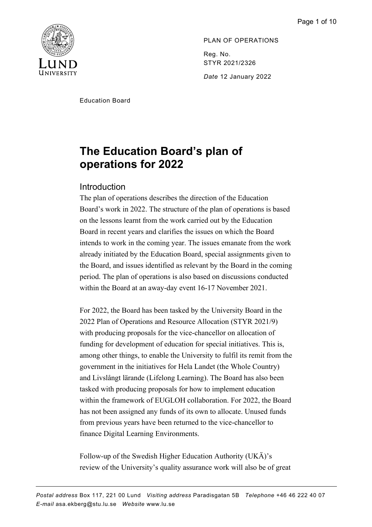

PLAN OF OPERATIONS Reg. No. STYR 2021/2326 *Date* 12 January 2022

Education Board

# **The Education Board's plan of operations for 2022**

# Introduction

The plan of operations describes the direction of the Education Board's work in 2022. The structure of the plan of operations is based on the lessons learnt from the work carried out by the Education Board in recent years and clarifies the issues on which the Board intends to work in the coming year. The issues emanate from the work already initiated by the Education Board, special assignments given to the Board, and issues identified as relevant by the Board in the coming period. The plan of operations is also based on discussions conducted within the Board at an away-day event 16-17 November 2021.

For 2022, the Board has been tasked by the University Board in the 2022 Plan of Operations and Resource Allocation (STYR 2021/9) with producing proposals for the vice-chancellor on allocation of funding for development of education for special initiatives. This is, among other things, to enable the University to fulfil its remit from the government in the initiatives for Hela Landet (the Whole Country) and Livslångt lärande (Lifelong Learning). The Board has also been tasked with producing proposals for how to implement education within the framework of EUGLOH collaboration. For 2022, the Board has not been assigned any funds of its own to allocate. Unused funds from previous years have been returned to the vice-chancellor to finance Digital Learning Environments.

Follow-up of the Swedish Higher Education Authority (UKÄ)'s review of the University's quality assurance work will also be of great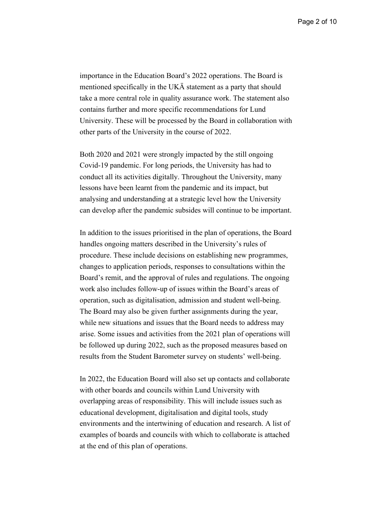importance in the Education Board's 2022 operations. The Board is mentioned specifically in the UKÄ statement as a party that should take a more central role in quality assurance work. The statement also contains further and more specific recommendations for Lund University. These will be processed by the Board in collaboration with other parts of the University in the course of 2022.

Both 2020 and 2021 were strongly impacted by the still ongoing Covid-19 pandemic. For long periods, the University has had to conduct all its activities digitally. Throughout the University, many lessons have been learnt from the pandemic and its impact, but analysing and understanding at a strategic level how the University can develop after the pandemic subsides will continue to be important.

In addition to the issues prioritised in the plan of operations, the Board handles ongoing matters described in the University's rules of procedure. These include decisions on establishing new programmes, changes to application periods, responses to consultations within the Board's remit, and the approval of rules and regulations. The ongoing work also includes follow-up of issues within the Board's areas of operation, such as digitalisation, admission and student well-being. The Board may also be given further assignments during the year, while new situations and issues that the Board needs to address may arise. Some issues and activities from the 2021 plan of operations will be followed up during 2022, such as the proposed measures based on results from the Student Barometer survey on students' well-being.

In 2022, the Education Board will also set up contacts and collaborate with other boards and councils within Lund University with overlapping areas of responsibility. This will include issues such as educational development, digitalisation and digital tools, study environments and the intertwining of education and research. A list of examples of boards and councils with which to collaborate is attached at the end of this plan of operations.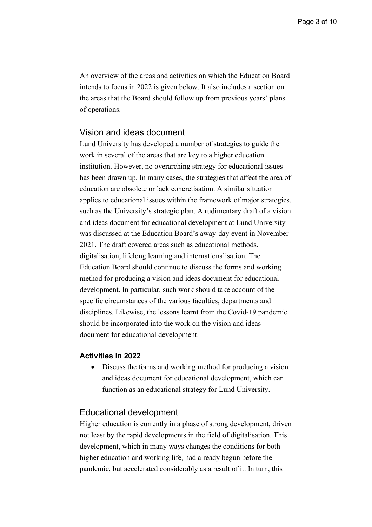An overview of the areas and activities on which the Education Board intends to focus in 2022 is given below. It also includes a section on the areas that the Board should follow up from previous years' plans of operations.

## Vision and ideas document

Lund University has developed a number of strategies to guide the work in several of the areas that are key to a higher education institution. However, no overarching strategy for educational issues has been drawn up. In many cases, the strategies that affect the area of education are obsolete or lack concretisation. A similar situation applies to educational issues within the framework of major strategies, such as the University's strategic plan. A rudimentary draft of a vision and ideas document for educational development at Lund University was discussed at the Education Board's away-day event in November 2021. The draft covered areas such as educational methods, digitalisation, lifelong learning and internationalisation. The Education Board should continue to discuss the forms and working method for producing a vision and ideas document for educational development. In particular, such work should take account of the specific circumstances of the various faculties, departments and disciplines. Likewise, the lessons learnt from the Covid-19 pandemic should be incorporated into the work on the vision and ideas document for educational development.

## **Activities in 2022**

• Discuss the forms and working method for producing a vision and ideas document for educational development, which can function as an educational strategy for Lund University.

## Educational development

Higher education is currently in a phase of strong development, driven not least by the rapid developments in the field of digitalisation. This development, which in many ways changes the conditions for both higher education and working life, had already begun before the pandemic, but accelerated considerably as a result of it. In turn, this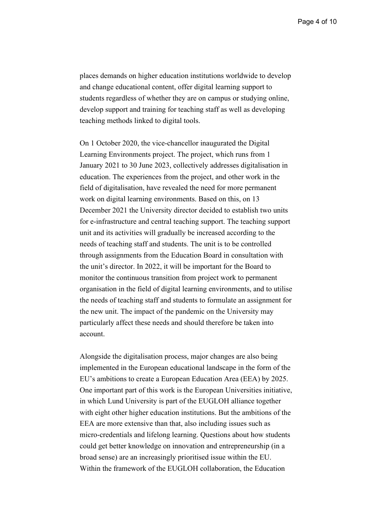Page 4 of 10

places demands on higher education institutions worldwide to develop and change educational content, offer digital learning support to students regardless of whether they are on campus or studying online, develop support and training for teaching staff as well as developing teaching methods linked to digital tools.

On 1 October 2020, the vice-chancellor inaugurated the Digital Learning Environments project. The project, which runs from 1 January 2021 to 30 June 2023, collectively addresses digitalisation in education. The experiences from the project, and other work in the field of digitalisation, have revealed the need for more permanent work on digital learning environments. Based on this, on 13 December 2021 the University director decided to establish two units for e-infrastructure and central teaching support. The teaching support unit and its activities will gradually be increased according to the needs of teaching staff and students. The unit is to be controlled through assignments from the Education Board in consultation with the unit's director. In 2022, it will be important for the Board to monitor the continuous transition from project work to permanent organisation in the field of digital learning environments, and to utilise the needs of teaching staff and students to formulate an assignment for the new unit. The impact of the pandemic on the University may particularly affect these needs and should therefore be taken into account.

Alongside the digitalisation process, major changes are also being implemented in the European educational landscape in the form of the EU's ambitions to create a European Education Area (EEA) by 2025. One important part of this work is the European Universities initiative, in which Lund University is part of the EUGLOH alliance together with eight other higher education institutions. But the ambitions of the EEA are more extensive than that, also including issues such as micro-credentials and lifelong learning. Questions about how students could get better knowledge on innovation and entrepreneurship (in a broad sense) are an increasingly prioritised issue within the EU. Within the framework of the EUGLOH collaboration, the Education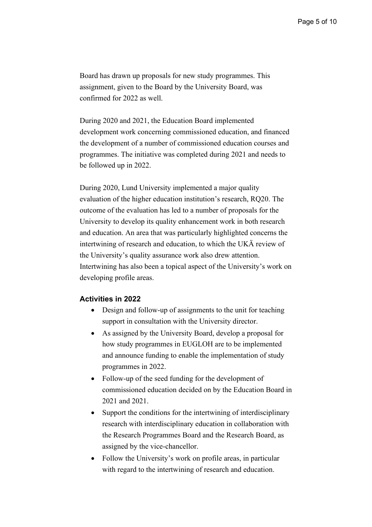Board has drawn up proposals for new study programmes. This assignment, given to the Board by the University Board, was confirmed for 2022 as well.

During 2020 and 2021, the Education Board implemented development work concerning commissioned education, and financed the development of a number of commissioned education courses and programmes. The initiative was completed during 2021 and needs to be followed up in 2022.

During 2020, Lund University implemented a major quality evaluation of the higher education institution's research, RQ20. The outcome of the evaluation has led to a number of proposals for the University to develop its quality enhancement work in both research and education. An area that was particularly highlighted concerns the intertwining of research and education, to which the UKÄ review of the University's quality assurance work also drew attention. Intertwining has also been a topical aspect of the University's work on developing profile areas.

## **Activities in 2022**

- Design and follow-up of assignments to the unit for teaching support in consultation with the University director.
- As assigned by the University Board, develop a proposal for how study programmes in EUGLOH are to be implemented and announce funding to enable the implementation of study programmes in 2022.
- Follow-up of the seed funding for the development of commissioned education decided on by the Education Board in 2021 and 2021.
- Support the conditions for the intertwining of interdisciplinary research with interdisciplinary education in collaboration with the Research Programmes Board and the Research Board, as assigned by the vice-chancellor.
- Follow the University's work on profile areas, in particular with regard to the intertwining of research and education.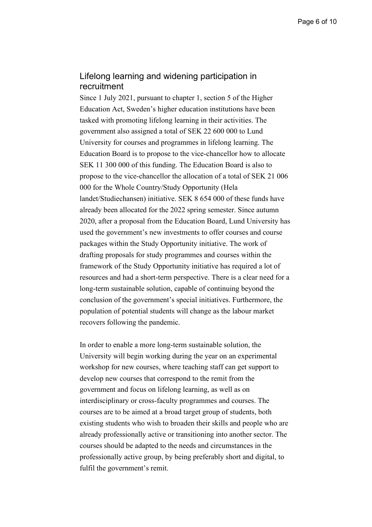# Lifelong learning and widening participation in recruitment

Since 1 July 2021, pursuant to chapter 1, section 5 of the Higher Education Act, Sweden's higher education institutions have been tasked with promoting lifelong learning in their activities. The government also assigned a total of SEK 22 600 000 to Lund University for courses and programmes in lifelong learning. The Education Board is to propose to the vice-chancellor how to allocate SEK 11 300 000 of this funding. The Education Board is also to propose to the vice-chancellor the allocation of a total of SEK 21 006 000 for the Whole Country/Study Opportunity (Hela landet/Studiechansen) initiative. SEK 8 654 000 of these funds have already been allocated for the 2022 spring semester. Since autumn 2020, after a proposal from the Education Board, Lund University has used the government's new investments to offer courses and course packages within the Study Opportunity initiative. The work of drafting proposals for study programmes and courses within the framework of the Study Opportunity initiative has required a lot of resources and had a short-term perspective. There is a clear need for a long-term sustainable solution, capable of continuing beyond the conclusion of the government's special initiatives. Furthermore, the population of potential students will change as the labour market recovers following the pandemic.

In order to enable a more long-term sustainable solution, the University will begin working during the year on an experimental workshop for new courses, where teaching staff can get support to develop new courses that correspond to the remit from the government and focus on lifelong learning, as well as on interdisciplinary or cross-faculty programmes and courses. The courses are to be aimed at a broad target group of students, both existing students who wish to broaden their skills and people who are already professionally active or transitioning into another sector. The courses should be adapted to the needs and circumstances in the professionally active group, by being preferably short and digital, to fulfil the government's remit.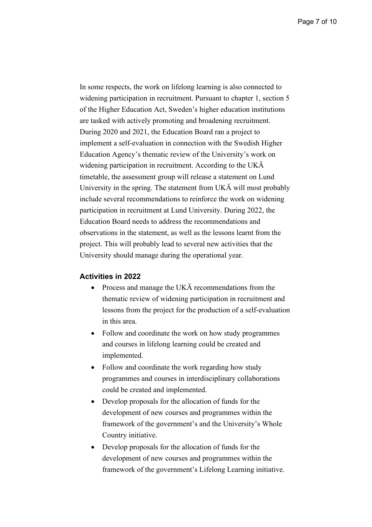In some respects, the work on lifelong learning is also connected to widening participation in recruitment. Pursuant to chapter 1, section 5 of the Higher Education Act, Sweden's higher education institutions are tasked with actively promoting and broadening recruitment. During 2020 and 2021, the Education Board ran a project to implement a self-evaluation in connection with the Swedish Higher Education Agency's thematic review of the University's work on widening participation in recruitment. According to the UKÄ timetable, the assessment group will release a statement on Lund University in the spring. The statement from UKÄ will most probably include several recommendations to reinforce the work on widening participation in recruitment at Lund University. During 2022, the Education Board needs to address the recommendations and observations in the statement, as well as the lessons learnt from the project. This will probably lead to several new activities that the University should manage during the operational year.

#### **Activities in 2022**

- Process and manage the UKA recommendations from the thematic review of widening participation in recruitment and lessons from the project for the production of a self-evaluation in this area.
- Follow and coordinate the work on how study programmes and courses in lifelong learning could be created and implemented.
- Follow and coordinate the work regarding how study programmes and courses in interdisciplinary collaborations could be created and implemented.
- Develop proposals for the allocation of funds for the development of new courses and programmes within the framework of the government's and the University's Whole Country initiative.
- Develop proposals for the allocation of funds for the development of new courses and programmes within the framework of the government's Lifelong Learning initiative.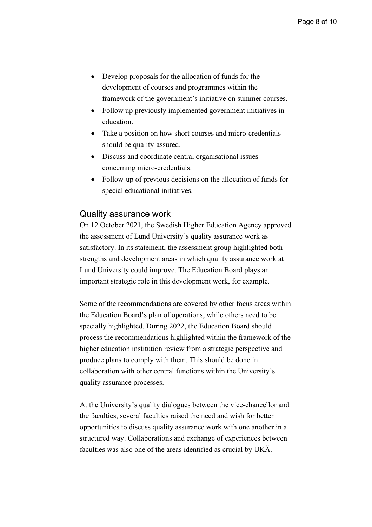- Develop proposals for the allocation of funds for the development of courses and programmes within the framework of the government's initiative on summer courses.
- Follow up previously implemented government initiatives in education.
- Take a position on how short courses and micro-credentials should be quality-assured.
- Discuss and coordinate central organisational issues concerning micro-credentials.
- Follow-up of previous decisions on the allocation of funds for special educational initiatives.

## Quality assurance work

On 12 October 2021, the Swedish Higher Education Agency approved the assessment of Lund University's quality assurance work as satisfactory. In its statement, the assessment group highlighted both strengths and development areas in which quality assurance work at Lund University could improve. The Education Board plays an important strategic role in this development work, for example.

Some of the recommendations are covered by other focus areas within the Education Board's plan of operations, while others need to be specially highlighted. During 2022, the Education Board should process the recommendations highlighted within the framework of the higher education institution review from a strategic perspective and produce plans to comply with them. This should be done in collaboration with other central functions within the University's quality assurance processes.

At the University's quality dialogues between the vice-chancellor and the faculties, several faculties raised the need and wish for better opportunities to discuss quality assurance work with one another in a structured way. Collaborations and exchange of experiences between faculties was also one of the areas identified as crucial by UKÄ.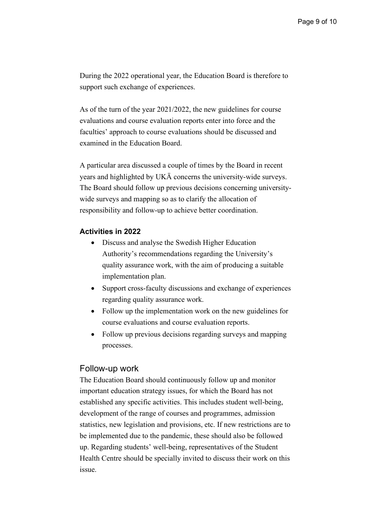During the 2022 operational year, the Education Board is therefore to support such exchange of experiences.

As of the turn of the year 2021/2022, the new guidelines for course evaluations and course evaluation reports enter into force and the faculties' approach to course evaluations should be discussed and examined in the Education Board.

A particular area discussed a couple of times by the Board in recent years and highlighted by UKÄ concerns the university-wide surveys. The Board should follow up previous decisions concerning universitywide surveys and mapping so as to clarify the allocation of responsibility and follow-up to achieve better coordination.

## **Activities in 2022**

- Discuss and analyse the Swedish Higher Education Authority's recommendations regarding the University's quality assurance work, with the aim of producing a suitable implementation plan.
- Support cross-faculty discussions and exchange of experiences regarding quality assurance work.
- Follow up the implementation work on the new guidelines for course evaluations and course evaluation reports.
- Follow up previous decisions regarding surveys and mapping processes.

### Follow-up work

The Education Board should continuously follow up and monitor important education strategy issues, for which the Board has not established any specific activities. This includes student well-being, development of the range of courses and programmes, admission statistics, new legislation and provisions, etc. If new restrictions are to be implemented due to the pandemic, these should also be followed up. Regarding students' well-being, representatives of the Student Health Centre should be specially invited to discuss their work on this issue.